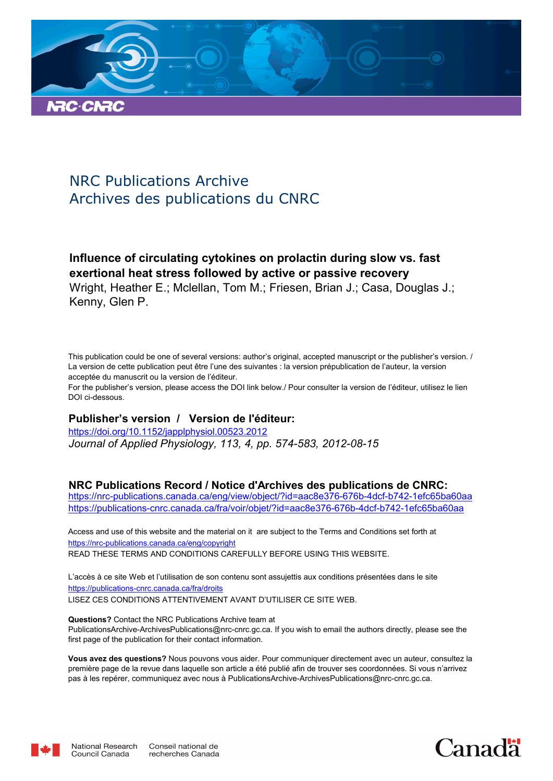

# NRC Publications Archive Archives des publications du CNRC

**Influence of circulating cytokines on prolactin during slow vs. fast exertional heat stress followed by active or passive recovery** Wright, Heather E.; Mclellan, Tom M.; Friesen, Brian J.; Casa, Douglas J.; Kenny, Glen P.

This publication could be one of several versions: author's original, accepted manuscript or the publisher's version. / La version de cette publication peut être l'une des suivantes : la version prépublication de l'auteur, la version acceptée du manuscrit ou la version de l'éditeur.

For the publisher's version, please access the DOI link below./ Pour consulter la version de l'éditeur, utilisez le lien DOI ci-dessous.

# **Publisher's version / Version de l'éditeur:**

*Journal of Applied Physiology, 113, 4, pp. 574-583, 2012-08-15* https://doi.org/10.1152/japplphysiol.00523.2012

# **NRC Publications Record / Notice d'Archives des publications de CNRC:**

https://nrc-publications.canada.ca/eng/view/object/?id=aac8e376-676b-4dcf-b742-1efc65ba60aa https://publications-cnrc.canada.ca/fra/voir/objet/?id=aac8e376-676b-4dcf-b742-1efc65ba60aa

READ THESE TERMS AND CONDITIONS CAREFULLY BEFORE USING THIS WEBSITE. https://nrc-publications.canada.ca/eng/copyright Access and use of this website and the material on it are subject to the Terms and Conditions set forth at

https://publications-cnrc.canada.ca/fra/droits L'accès à ce site Web et l'utilisation de son contenu sont assujettis aux conditions présentées dans le site LISEZ CES CONDITIONS ATTENTIVEMENT AVANT D'UTILISER CE SITE WEB.

**Questions?** Contact the NRC Publications Archive team at PublicationsArchive-ArchivesPublications@nrc-cnrc.gc.ca. If you wish to email the authors directly, please see the first page of the publication for their contact information.

**Vous avez des questions?** Nous pouvons vous aider. Pour communiquer directement avec un auteur, consultez la première page de la revue dans laquelle son article a été publié afin de trouver ses coordonnées. Si vous n'arrivez pas à les repérer, communiquez avec nous à PublicationsArchive-ArchivesPublications@nrc-cnrc.gc.ca.



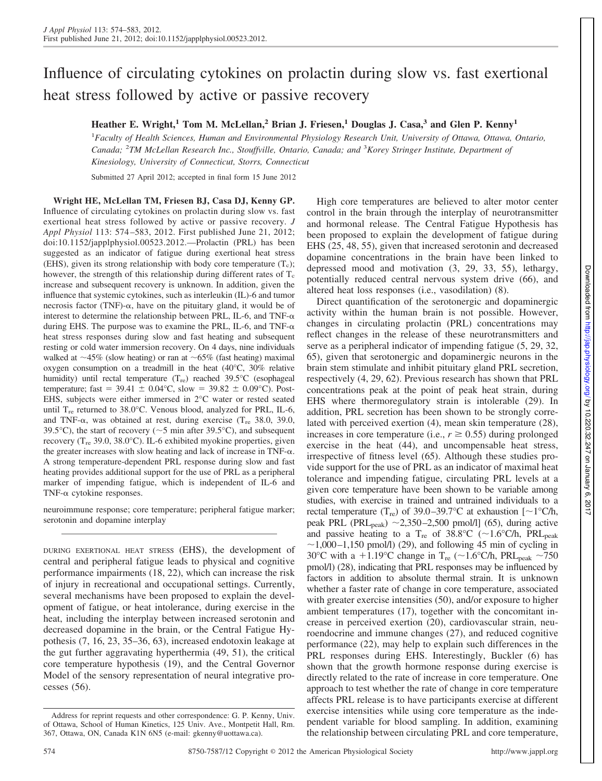# Influence of circulating cytokines on prolactin during slow vs. fast exertional heat stress followed by active or passive recovery

## **Heather E. Wright,<sup>1</sup> Tom M. McLellan,<sup>2</sup> Brian J. Friesen,<sup>1</sup> Douglas J. Casa,<sup>3</sup> and Glen P. Kenny<sup>1</sup>**

<sup>1</sup>*Faculty of Health Sciences, Human and Environmental Physiology Research Unit, University of Ottawa, Ottawa, Ontario, Canada;* <sup>2</sup>*TM McLellan Research Inc., Stouffville, Ontario, Canada; and* <sup>3</sup>*Korey Stringer Institute, Department of Kinesiology, University of Connecticut, Storrs, Connecticut*

Submitted 27 April 2012; accepted in final form 15 June 2012

**Wright HE, McLellan TM, Friesen BJ, Casa DJ, Kenny GP.** Influence of circulating cytokines on prolactin during slow vs. fast exertional heat stress followed by active or passive recovery. *J Appl Physiol* 113: 574–583, 2012. First published June 21, 2012; doi:10.1152/japplphysiol.00523.2012.—Prolactin (PRL) has been suggested as an indicator of fatigue during exertional heat stress (EHS), given its strong relationship with body core temperature  $(T_c)$ ; however, the strength of this relationship during different rates of  $T_c$ increase and subsequent recovery is unknown. In addition, given the influence that systemic cytokines, such as interleukin (IL)-6 and tumor necrosis factor (TNF)- $\alpha$ , have on the pituitary gland, it would be of interest to determine the relationship between PRL, IL-6, and TNF- $\alpha$ during EHS. The purpose was to examine the PRL, IL-6, and TNF- $\alpha$ heat stress responses during slow and fast heating and subsequent resting or cold water immersion recovery. On 4 days, nine individuals walked at  $\sim$ 45% (slow heating) or ran at  $\sim$  65% (fast heating) maximal oxygen consumption on a treadmill in the heat (40°C, 30% relative humidity) until rectal temperature  $(T_{\text{re}})$  reached 39.5°C (esophageal temperature; fast = 39.41  $\pm$  0.04°C, slow = 39.82  $\pm$  0.09°C). Post-EHS, subjects were either immersed in 2°C water or rested seated until T<sub>re</sub> returned to 38.0°C. Venous blood, analyzed for PRL, IL-6, and TNF- $\alpha$ , was obtained at rest, during exercise (T<sub>re</sub> 38.0, 39.0, 39.5°C), the start of recovery ( $\sim$ 5 min after 39.5°C), and subsequent recovery ( $T_{\text{re}}$  39.0, 38.0°C). IL-6 exhibited myokine properties, given the greater increases with slow heating and lack of increase in TNF- $\alpha$ . A strong temperature-dependent PRL response during slow and fast heating provides additional support for the use of PRL as a peripheral marker of impending fatigue, which is independent of IL-6 and TNF- $\alpha$  cytokine responses.

neuroimmune response; core temperature; peripheral fatigue marker; serotonin and dopamine interplay

DURING EXERTIONAL HEAT STRESS (EHS), the development of central and peripheral fatigue leads to physical and cognitive performance impairments (18, 22), which can increase the risk of injury in recreational and occupational settings. Currently, several mechanisms have been proposed to explain the development of fatigue, or heat intolerance, during exercise in the heat, including the interplay between increased serotonin and decreased dopamine in the brain, or the Central Fatigue Hypothesis (7, 16, 23, 35–36, 63), increased endotoxin leakage at the gut further aggravating hyperthermia (49, 51), the critical core temperature hypothesis (19), and the Central Governor Model of the sensory representation of neural integrative processes (56).

High core temperatures are believed to alter motor center control in the brain through the interplay of neurotransmitter and hormonal release. The Central Fatigue Hypothesis has been proposed to explain the development of fatigue during EHS (25, 48, 55), given that increased serotonin and decreased dopamine concentrations in the brain have been linked to depressed mood and motivation (3, 29, 33, 55), lethargy, potentially reduced central nervous system drive (66), and altered heat loss responses (i.e., vasodilation) (8).

Direct quantification of the serotonergic and dopaminergic activity within the human brain is not possible. However, changes in circulating prolactin (PRL) concentrations may reflect changes in the release of these neurotransmitters and serve as a peripheral indicator of impending fatigue (5, 29, 32, 65), given that serotonergic and dopaminergic neurons in the brain stem stimulate and inhibit pituitary gland PRL secretion, respectively (4, 29, 62). Previous research has shown that PRL concentrations peak at the point of peak heat strain, during EHS where thermoregulatory strain is intolerable (29). In addition, PRL secretion has been shown to be strongly correlated with perceived exertion (4), mean skin temperature (28), increases in core temperature (i.e.,  $r \geq 0.55$ ) during prolonged exercise in the heat (44), and uncompensable heat stress, irrespective of fitness level (65). Although these studies provide support for the use of PRL as an indicator of maximal heat tolerance and impending fatigue, circulating PRL levels at a given core temperature have been shown to be variable among studies, with exercise in trained and untrained individuals to a rectal temperature (T<sub>re</sub>) of 39.0–39.7°C at exhaustion [ $\sim$ 1°C/h, peak PRL (PRL<sub>peak</sub>)  $\sim$ 2,350–2,500 pmol/l] (65), during active and passive heating to a  $T_{\text{re}}$  of 38.8°C (~1.6°C/h, PRL<sub>peak</sub>  $\sim$ 1,000–1,150 pmol/l) (29), and following 45 min of cycling in 30°C with a +1.19°C change in T<sub>re</sub> (~1.6°C/h, PRL<sub>peak</sub> ~750 pmol/l) (28), indicating that PRL responses may be influenced by factors in addition to absolute thermal strain. It is unknown whether a faster rate of change in core temperature, associated with greater exercise intensities (50), and/or exposure to higher ambient temperatures (17), together with the concomitant increase in perceived exertion (20), cardiovascular strain, neuroendocrine and immune changes (27), and reduced cognitive performance (22), may help to explain such differences in the PRL responses during EHS. Interestingly, Buckler (6) has shown that the growth hormone response during exercise is directly related to the rate of increase in core temperature. One approach to test whether the rate of change in core temperature affects PRL release is to have participants exercise at different exercise intensities while using core temperature as the independent variable for blood sampling. In addition, examining the relationship between circulating PRL and core temperature,

Address for reprint requests and other correspondence: G. P. Kenny, Univ. of Ottawa, School of Human Kinetics, 125 Univ. Ave., Montpetit Hall, Rm. 367, Ottawa, ON, Canada K1N 6N5 (e-mail: gkenny@uottawa.ca).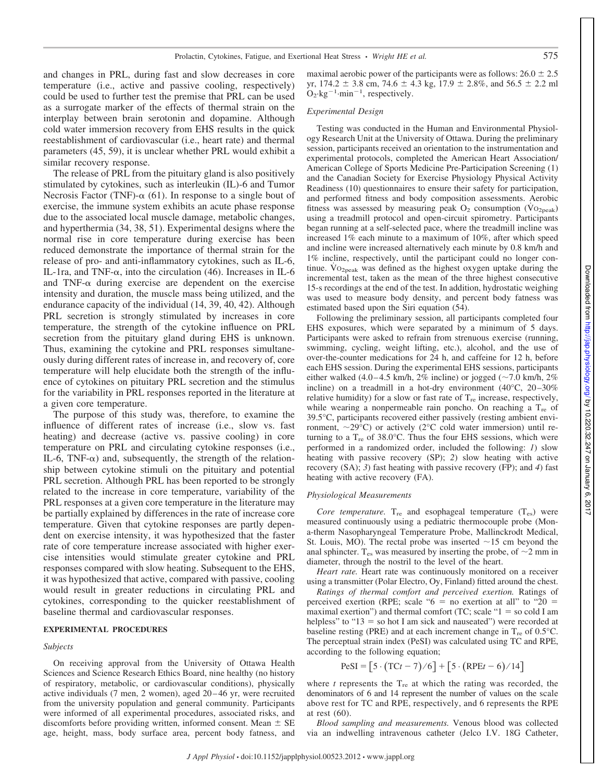and changes in PRL, during fast and slow decreases in core temperature (i.e., active and passive cooling, respectively) could be used to further test the premise that PRL can be used as a surrogate marker of the effects of thermal strain on the interplay between brain serotonin and dopamine. Although cold water immersion recovery from EHS results in the quick reestablishment of cardiovascular (i.e., heart rate) and thermal parameters (45, 59), it is unclear whether PRL would exhibit a similar recovery response.

The release of PRL from the pituitary gland is also positively stimulated by cytokines, such as interleukin (IL)-6 and Tumor Necrosis Factor (TNF)- $\alpha$  (61). In response to a single bout of exercise, the immune system exhibits an acute phase response due to the associated local muscle damage, metabolic changes, and hyperthermia (34, 38, 51). Experimental designs where the normal rise in core temperature during exercise has been reduced demonstrate the importance of thermal strain for the release of pro- and anti-inflammatory cytokines, such as IL-6, IL-1ra, and TNF- $\alpha$ , into the circulation (46). Increases in IL-6 and TNF- $\alpha$  during exercise are dependent on the exercise intensity and duration, the muscle mass being utilized, and the endurance capacity of the individual (14, 39, 40, 42). Although PRL secretion is strongly stimulated by increases in core temperature, the strength of the cytokine influence on PRL secretion from the pituitary gland during EHS is unknown. Thus, examining the cytokine and PRL responses simultaneously during different rates of increase in, and recovery of, core temperature will help elucidate both the strength of the influence of cytokines on pituitary PRL secretion and the stimulus for the variability in PRL responses reported in the literature at a given core temperature.

The purpose of this study was, therefore, to examine the influence of different rates of increase (i.e., slow vs. fast heating) and decrease (active vs. passive cooling) in core temperature on PRL and circulating cytokine responses (i.e., IL-6, TNF- $\alpha$ ) and, subsequently, the strength of the relationship between cytokine stimuli on the pituitary and potential PRL secretion. Although PRL has been reported to be strongly related to the increase in core temperature, variability of the PRL responses at a given core temperature in the literature may be partially explained by differences in the rate of increase core temperature. Given that cytokine responses are partly dependent on exercise intensity, it was hypothesized that the faster rate of core temperature increase associated with higher exercise intensities would stimulate greater cytokine and PRL responses compared with slow heating. Subsequent to the EHS, it was hypothesized that active, compared with passive, cooling would result in greater reductions in circulating PRL and cytokines, corresponding to the quicker reestablishment of baseline thermal and cardiovascular responses.

#### **EXPERIMENTAL PROCEDURES**

#### *Subjects*

On receiving approval from the University of Ottawa Health Sciences and Science Research Ethics Board, nine healthy (no history of respiratory, metabolic, or cardiovascular conditions), physically active individuals (7 men, 2 women), aged 20–46 yr, were recruited from the university population and general community. Participants were informed of all experimental procedures, associated risks, and discomforts before providing written, informed consent. Mean  $\pm$  SE age, height, mass, body surface area, percent body fatness, and

maximal aerobic power of the participants were as follows:  $26.0 \pm 2.5$ yr,  $174.2 \pm 3.8$  cm,  $74.6 \pm 4.3$  kg,  $17.9 \pm 2.8$ %, and  $56.5 \pm 2.2$  ml  $O_2$ ·kg<sup>-1</sup>·min<sup>-1</sup>, respectively.

## *Experimental Design*

Testing was conducted in the Human and Environmental Physiology Research Unit at the University of Ottawa. During the preliminary session, participants received an orientation to the instrumentation and experimental protocols, completed the American Heart Association/ American College of Sports Medicine Pre-Participation Screening (1) and the Canadian Society for Exercise Physiology Physical Activity Readiness (10) questionnaires to ensure their safety for participation, and performed fitness and body composition assessments. Aerobic fitness was assessed by measuring peak  $O_2$  consumption (V $O_{2\text{peak}}$ ) using a treadmill protocol and open-circuit spirometry. Participants began running at a self-selected pace, where the treadmill incline was increased 1% each minute to a maximum of 10%, after which speed and incline were increased alternatively each minute by 0.8 km/h and 1% incline, respectively, until the participant could no longer continue.  $\rm{Vo_{2peak}}$  was defined as the highest oxygen uptake during the incremental test, taken as the mean of the three highest consecutive 15-s recordings at the end of the test. In addition, hydrostatic weighing was used to measure body density, and percent body fatness was estimated based upon the Siri equation (54).

Following the preliminary session, all participants completed four EHS exposures, which were separated by a minimum of 5 days. Participants were asked to refrain from strenuous exercise (running, swimming, cycling, weight lifting, etc.), alcohol, and the use of over-the-counter medications for 24 h, and caffeine for 12 h, before each EHS session. During the experimental EHS sessions, participants either walked (4.0–4.5 km/h,  $2\%$  incline) or jogged ( $\sim$ 7.0 km/h,  $2\%$ incline) on a treadmill in a hot-dry environment (40°C, 20–30% relative humidity) for a slow or fast rate of  $T_{\text{re}}$  increase, respectively, while wearing a nonpermeable rain poncho. On reaching a  $T_{\text{re}}$  of 39.5°C, participants recovered either passively (resting ambient environment,  $\sim$ 29 $\degree$ C) or actively (2 $\degree$ C cold water immersion) until returning to a  $T_{\text{re}}$  of 38.0°C. Thus the four EHS sessions, which were performed in a randomized order, included the following: *1*) slow heating with passive recovery (SP); *2*) slow heating with active recovery (SA); *3*) fast heating with passive recovery (FP); and *4*) fast heating with active recovery (FA).

## *Physiological Measurements*

*Core temperature.*  $T_{\text{re}}$  and esophageal temperature  $(T_{\text{es}})$  were measured continuously using a pediatric thermocouple probe (Mona-therm Nasopharyngeal Temperature Probe, Mallinckrodt Medical, St. Louis, MO). The rectal probe was inserted  $\sim$ 15 cm beyond the anal sphincter. T<sub>es</sub> was measured by inserting the probe, of  $\sim$ 2 mm in diameter, through the nostril to the level of the heart.

*Heart rate.* Heart rate was continuously monitored on a receiver using a transmitter (Polar Electro, Oy, Finland) fitted around the chest.

*Ratings of thermal comfort and perceived exertion.* Ratings of perceived exertion (RPE; scale " $6 =$  no exertion at all" to " $20 =$ maximal exertion") and thermal comfort (TC; scale " $1 =$  so cold I am helpless" to " $13 =$  so hot I am sick and nauseated") were recorded at baseline resting (PRE) and at each increment change in  $T_{\text{re}}$  of 0.5 $^{\circ}$ C. The perceptual strain index (PeSI) was calculated using TC and RPE, according to the following equation;

$$
PeSI = [5 \cdot (TCt - 7)/6] + [5 \cdot (RPEt - 6)/14]
$$

where  $t$  represents the  $T_{re}$  at which the rating was recorded, the denominators of 6 and 14 represent the number of values on the scale above rest for TC and RPE, respectively, and 6 represents the RPE at rest (60).

*Blood sampling and measurements.* Venous blood was collected via an indwelling intravenous catheter (Jelco I.V. 18G Catheter,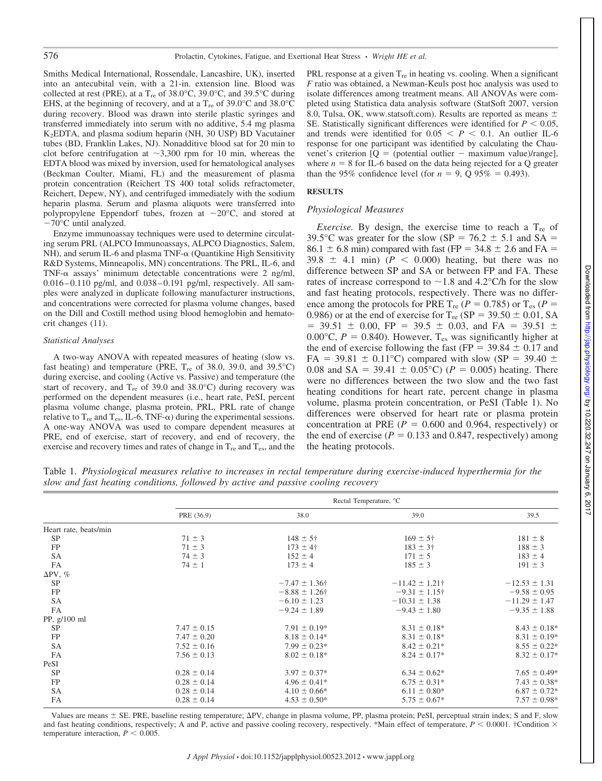Smiths Medical International, Rossendale, Lancashire, UK), inserted into an antecubital vein, with a 21-in. extension line. Blood was collected at rest (PRE), at a T<sub>re</sub> of 38.0°C, 39.0°C, and 39.5°C during EHS, at the beginning of recovery, and at a  $T_{\text{re}}$  of 39.0°C and 38.0°C during recovery. Blood was drawn into sterile plastic syringes and transferred immediately into serum with no additive, 5.4 mg plasma K2EDTA, and plasma sodium heparin (NH, 30 USP) BD Vacutainer tubes (BD, Franklin Lakes, NJ). Nonadditive blood sat for 20 min to clot before centrifugation at  $\sim$ 3,300 rpm for 10 min, whereas the EDTA blood was mixed by inversion, used for hematological analyses (Beckman Coulter, Miami, FL) and the measurement of plasma protein concentration (Reichert TS 400 total solids refractometer, Reichert, Depew, NY), and centrifuged immediately with the sodium heparin plasma. Serum and plasma aliquots were transferred into polypropylene Eppendorf tubes, frozen at  $-20^{\circ}$ C, and stored at  $-70$ °C until analyzed.

Enzyme immunoassay techniques were used to determine circulating serum PRL (ALPCO Immunoassays, ALPCO Diagnostics, Salem, NH), and serum IL-6 and plasma TNF- $\alpha$  (Quantikine High Sensitivity R&D Systems, Minneapolis, MN) concentrations. The PRL, IL-6, and TNF- $\alpha$  assays' minimum detectable concentrations were 2 ng/ml, 0.016–0.110 pg/ml, and 0.038–0.191 pg/ml, respectively. All samples were analyzed in duplicate following manufacturer instructions, and concentrations were corrected for plasma volume changes, based on the Dill and Costill method using blood hemoglobin and hematocrit changes (11).

## *Statistical Analyses*

A two-way ANOVA with repeated measures of heating (slow vs. fast heating) and temperature (PRE,  $T_{\text{re}}$  of 38.0, 39.0, and 39.5°C) during exercise, and cooling (Active vs. Passive) and temperature (the start of recovery, and  $T_{\text{re}}$  of 39.0 and 38.0°C) during recovery was performed on the dependent measures (i.e., heart rate, PeSI, percent plasma volume change, plasma protein, PRL, PRL rate of change relative to  $T_{\text{re}}$  and  $T_{\text{es}}$ , IL-6, TNF- $\alpha$ ) during the experimental sessions. A one-way ANOVA was used to compare dependent measures at PRE, end of exercise, start of recovery, and end of recovery, the exercise and recovery times and rates of change in  $T_{\text{re}}$  and  $T_{\text{es}}$ , and the

PRL response at a given  $T_{\text{re}}$  in heating vs. cooling. When a significant *F* ratio was obtained, a Newman-Keuls post hoc analysis was used to isolate differences among treatment means. All ANOVAs were completed using Statistica data analysis software (StatSoft 2007, version 8.0, Tulsa, OK, [www.statsoft.com\)](http://www.statsoft.com). Results are reported as means  $\pm$ SE. Statistically significant differences were identified for  $P < 0.05$ , and trends were identified for  $0.05 < P < 0.1$ . An outlier IL-6 response for one participant was identified by calculating the Chauvenet's criterion  $[Q] = (potential outlier - maximum value)/range$ ], where  $n = 8$  for IL-6 based on the data being rejected for a Q greater than the 95% confidence level (for  $n = 9$ , Q 95% = 0.493).

### **RESULTS**

#### *Physiological Measures*

*Exercise.* By design, the exercise time to reach a  $T_{\text{re}}$  of 39.5°C was greater for the slow (SP =  $76.2 \pm 5.1$  and SA =  $86.1 \pm 6.8$  min) compared with fast (FP = 34.8  $\pm$  2.6 and FA =  $39.8 \pm 4.1$  min) ( $P < 0.000$ ) heating, but there was no difference between SP and SA or between FP and FA. These rates of increase correspond to  $\sim$  1.8 and 4.2°C/h for the slow and fast heating protocols, respectively. There was no difference among the protocols for PRE  $T_{re}$  ( $P = 0.785$ ) or  $T_{es}$  ( $P =$ 0.986) or at the end of exercise for  $T_{re}$  (SP = 39.50  $\pm$  0.01, SA  $=$  39.51  $\pm$  0.00, FP = 39.5  $\pm$  0.03, and FA = 39.51  $\pm$ 0.00 $\degree$ C,  $P = 0.840$ ). However, T<sub>es</sub> was significantly higher at the end of exercise following the fast (FP =  $39.84 \pm 0.17$  and  $FA = 39.81 \pm 0.11^{\circ}$ C) compared with slow (SP = 39.40  $\pm$ 0.08 and SA = 39.41  $\pm$  0.05°C) (*P* = 0.005) heating. There were no differences between the two slow and the two fast heating conditions for heart rate, percent change in plasma volume, plasma protein concentration, or PeSI (Table 1). No differences were observed for heart rate or plasma protein concentration at PRE ( $P = 0.600$  and 0.964, respectively) or the end of exercise ( $P = 0.133$  and 0.847, respectively) among the heating protocols.

Table 1. *Physiological measures relative to increases in rectal temperature during exercise-induced hyperthermia for the slow and fast heating conditions, followed by active and passive cooling recovery*

|                        |                 | Rectal Temperature, °C |                     |                   |  |
|------------------------|-----------------|------------------------|---------------------|-------------------|--|
|                        | PRE (36.9)      | 38.0                   | 39.0                | 39.5              |  |
| Heart rate, beats/min  |                 |                        |                     |                   |  |
| <b>SP</b>              | $71 \pm 3$      | $148 \pm 5^{\circ}$    | $169 \pm 5^{\circ}$ | $181 \pm 8$       |  |
| FP                     | $71 \pm 3$      | $173 \pm 4^{\circ}$    | $183 \pm 3$ †       | $188 \pm 3$       |  |
| <b>SA</b>              | $74 \pm 3$      | $152 \pm 4$            | $171 \pm 5$         | $183 \pm 4$       |  |
| FA                     | $74 \pm 1$      | $173 \pm 4$            | $185 \pm 3$         | $191 \pm 3$       |  |
| $\Delta \text{PV}, \%$ |                 |                        |                     |                   |  |
| <b>SP</b>              |                 | $-7.47 \pm 1.36$ †     | $-11.42 \pm 1.21$ † | $-12.53 \pm 1.31$ |  |
| FP                     |                 | $-8.88 \pm 1.26$ †     | $-9.31 \pm 1.15$ †  | $-9.58 \pm 0.95$  |  |
| <b>SA</b>              |                 | $-6.10 \pm 1.23$       | $-10.31 \pm 1.38$   | $-11.29 \pm 1.47$ |  |
| FA                     |                 | $-9.24 \pm 1.89$       | $-9.43 \pm 1.80$    | $-9.35 \pm 1.88$  |  |
| PP, $g/100$ ml         |                 |                        |                     |                   |  |
| <b>SP</b>              | $7.47 \pm 0.15$ | $7.91 \pm 0.19*$       | $8.31 \pm 0.18^*$   | $8.43 \pm 0.18^*$ |  |
| FP                     | $7.47 \pm 0.20$ | $8.18 \pm 0.14*$       | $8.31 \pm 0.18^*$   | $8.31 \pm 0.19*$  |  |
| SA                     | $7.52 \pm 0.16$ | $7.99 \pm 0.23*$       | $8.42 \pm 0.21*$    | $8.55 \pm 0.22*$  |  |
| FA                     | $7.56 \pm 0.13$ | $8.02 \pm 0.18^*$      | $8.24 \pm 0.17*$    | $8.32 \pm 0.17*$  |  |
| PeSI                   |                 |                        |                     |                   |  |
| SP                     | $0.28 \pm 0.14$ | $3.97 \pm 0.37*$       | $6.34 \pm 0.62*$    | $7.65 \pm 0.49*$  |  |
| FP                     | $0.28 \pm 0.14$ | $4.96 \pm 0.41*$       | $6.75 \pm 0.31*$    | $7.43 \pm 0.38*$  |  |
| SA                     | $0.28 \pm 0.14$ | $4.10 \pm 0.66*$       | $6.11 \pm 0.80^*$   | $6.87 \pm 0.72*$  |  |
| FA                     | $0.28 \pm 0.14$ | $4.53 \pm 0.50^*$      | $5.75 \pm 0.67*$    | $7.57 \pm 0.98*$  |  |

Values are means  $\pm$  SE. PRE, baseline resting temperature;  $\Delta PV$ , change in plasma volume, PP, plasma protein; PeSI, perceptual strain index; S and F, slow and fast heating conditions, respectively; A and P, active and passive cooling recovery, respectively. \*Main effect of temperature,  $P < 0.0001$ . †Condition  $\times$ temperature interaction,  $P < 0.005$ .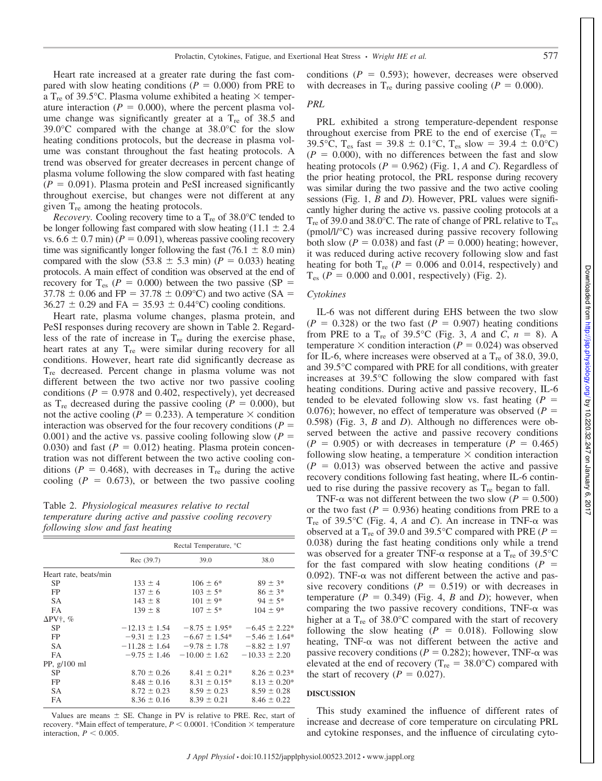Heart rate increased at a greater rate during the fast compared with slow heating conditions ( $P = 0.000$ ) from PRE to a T<sub>re</sub> of 39.5°C. Plasma volume exhibited a heating  $\times$  temperature interaction ( $P = 0.000$ ), where the percent plasma volume change was significantly greater at a  $T_{\text{re}}$  of 38.5 and 39.0°C compared with the change at 38.0°C for the slow heating conditions protocols, but the decrease in plasma volume was constant throughout the fast heating protocols. A trend was observed for greater decreases in percent change of plasma volume following the slow compared with fast heating  $(P = 0.091)$ . Plasma protein and PeSI increased significantly throughout exercise, but changes were not different at any given  $T_{\text{re}}$  among the heating protocols.

*Recovery.* Cooling recovery time to a  $T_{\text{re}}$  of 38.0 $^{\circ}$ C tended to be longer following fast compared with slow heating  $(11.1 \pm 2.4)$ vs.  $6.6 \pm 0.7$  min) ( $P = 0.091$ ), whereas passive cooling recovery time was significantly longer following the fast (76.1  $\pm$  8.0 min) compared with the slow (53.8  $\pm$  5.3 min) (*P* = 0.033) heating protocols. A main effect of condition was observed at the end of recovery for  $T_{es}$  ( $P = 0.000$ ) between the two passive ( $SP =$  $37.78 \pm 0.06$  and FP = 37.78  $\pm$  0.09°C) and two active (SA =  $36.27 \pm 0.29$  and FA =  $35.93 \pm 0.44$ °C) cooling conditions.

Heart rate, plasma volume changes, plasma protein, and PeSI responses during recovery are shown in Table 2. Regardless of the rate of increase in  $T_{\text{re}}$  during the exercise phase, heart rates at any  $T_{\text{re}}$  were similar during recovery for all conditions. However, heart rate did significantly decrease as Tre decreased. Percent change in plasma volume was not different between the two active nor two passive cooling conditions ( $P = 0.978$  and 0.402, respectively), yet decreased as  $T_{\text{re}}$  decreased during the passive cooling ( $P = 0.000$ ), but not the active cooling ( $P = 0.233$ ). A temperature  $\times$  condition interaction was observed for the four recovery conditions ( $P =$ 0.001) and the active vs. passive cooling following slow  $(P =$ 0.030) and fast  $(P = 0.012)$  heating. Plasma protein concentration was not different between the two active cooling conditions ( $P = 0.468$ ), with decreases in T<sub>re</sub> during the active cooling  $(P = 0.673)$ , or between the two passive cooling

Table 2. *Physiological measures relative to rectal temperature during active and passive cooling recovery following slow and fast heating*

|                       |                   | Rectal Temperature, °C                              |                   |
|-----------------------|-------------------|-----------------------------------------------------|-------------------|
|                       | Rec (39.7)        | 39.0                                                | 38.0              |
| Heart rate, beats/min |                   |                                                     |                   |
| <b>SP</b>             | $133 \pm 4$       | $106 \pm 6^*$                                       | $89 \pm 3*$       |
| <b>FP</b>             | $137 \pm 6$       | $103 \pm 5^*$                                       | $86 \pm 3*$       |
| <b>SA</b>             | $143 \pm 8$       | $101 \pm 9^*$                                       | $94 \pm 5*$       |
| <b>FA</b>             | $139 \pm 8$       | $107 \pm 5^*$                                       | $104 \pm 9*$      |
| $\Delta$ PV†, %       |                   |                                                     |                   |
| <b>SP</b>             | $-12.13 \pm 1.54$ | $-8.75 \pm 1.95^*$                                  | $-6.45 \pm 2.22*$ |
| <b>FP</b>             | $-9.31 \pm 1.23$  | $-6.67 \pm 1.54*$                                   | $-5.46 \pm 1.64*$ |
| <b>SA</b>             |                   | $-11.28 \pm 1.64$ $-9.78 \pm 1.78$ $-8.82 \pm 1.97$ |                   |
| <b>FA</b>             | $-9.75 \pm 1.46$  | $-10.00 \pm 1.62$                                   | $-10.33 \pm 2.20$ |
| PP, $g/100$ ml        |                   |                                                     |                   |
| <b>SP</b>             | $8.70 \pm 0.26$   | $8.41 \pm 0.21*$                                    | $8.26 \pm 0.23*$  |
| <b>FP</b>             | $8.48 \pm 0.16$   | $8.31 \pm 0.15^*$                                   | $8.13 \pm 0.20*$  |
| <b>SA</b>             | $8.72 \pm 0.23$   | $8.59 \pm 0.23$                                     | $8.59 \pm 0.28$   |
| <b>FA</b>             | $8.36 \pm 0.16$   | $8.39 \pm 0.21$                                     | $8.46 \pm 0.22$   |

Values are means  $\pm$  SE. Change in PV is relative to PRE. Rec, start of recovery. \*Main effect of temperature,  $P < 0.0001$ . †Condition  $\times$  temperature interaction,  $P < 0.005$ .

conditions  $(P = 0.593)$ ; however, decreases were observed with decreases in  $T_{\text{re}}$  during passive cooling ( $P = 0.000$ ).

## *PRL*

PRL exhibited a strong temperature-dependent response throughout exercise from PRE to the end of exercise ( $T_{\text{re}}$  = 39.5°C, T<sub>es</sub> fast = 39.8  $\pm$  0.1°C, T<sub>es</sub> slow = 39.4  $\pm$  0.0°C)  $(P = 0.000)$ , with no differences between the fast and slow heating protocols ( $P = 0.962$ ) (Fig. 1, *A* and *C*). Regardless of the prior heating protocol, the PRL response during recovery was similar during the two passive and the two active cooling sessions (Fig. 1, *B* and *D*). However, PRL values were significantly higher during the active vs. passive cooling protocols at a  $T_{\rm re}$  of 39.0 and 38.0°C. The rate of change of PRL relative to  $T_{\rm es}$ (pmol/l/°C) was increased during passive recovery following both slow ( $P = 0.038$ ) and fast ( $P = 0.000$ ) heating; however, it was reduced during active recovery following slow and fast heating for both  $T_{re}$  ( $P = 0.006$  and 0.014, respectively) and  $T_{es}$  ( $P = 0.000$  and 0.001, respectively) (Fig. 2).

## *Cytokines*

IL-6 was not different during EHS between the two slow  $(P = 0.328)$  or the two fast  $(P = 0.907)$  heating conditions from PRE to a  $T_{re}$  of 39.5°C (Fig. 3, *A* and *C*,  $n = 8$ ). A temperature  $\times$  condition interaction ( $P = 0.024$ ) was observed for IL-6, where increases were observed at a  $T_{\text{re}}$  of 38.0, 39.0, and 39.5°C compared with PRE for all conditions, with greater increases at 39.5°C following the slow compared with fast heating conditions. During active and passive recovery, IL-6 tended to be elevated following slow vs. fast heating  $(P =$ 0.076); however, no effect of temperature was observed  $(P =$ 0.598) (Fig. 3, *B* and *D*). Although no differences were observed between the active and passive recovery conditions  $(P = 0.905)$  or with decreases in temperature  $(P = 0.465)$ following slow heating, a temperature  $\times$  condition interaction  $(P = 0.013)$  was observed between the active and passive recovery conditions following fast heating, where IL-6 continued to rise during the passive recovery as  $T_{\text{re}}$  began to fall.

TNF- $\alpha$  was not different between the two slow ( $P = 0.500$ ) or the two fast  $(P = 0.936)$  heating conditions from PRE to a T<sub>re</sub> of 39.5°C (Fig. 4, *A* and *C*). An increase in TNF- $\alpha$  was observed at a T<sub>re</sub> of 39.0 and 39.5°C compared with PRE ( $P =$ 0.038) during the fast heating conditions only while a trend was observed for a greater TNF- $\alpha$  response at a T<sub>re</sub> of 39.5<sup>o</sup>C for the fast compared with slow heating conditions  $(P =$ 0.092). TNF- $\alpha$  was not different between the active and passive recovery conditions  $(P = 0.519)$  or with decreases in temperature  $(P = 0.349)$  (Fig. 4, *B* and *D*); however, when comparing the two passive recovery conditions,  $TNF-\alpha$  was higher at a  $T_{\text{re}}$  of 38.0 $\textdegree$ C compared with the start of recovery following the slow heating  $(P = 0.018)$ . Following slow heating,  $TNF-\alpha$  was not different between the active and passive recovery conditions ( $P = 0.282$ ); however, TNF- $\alpha$  was elevated at the end of recovery ( $T_{\text{re}} = 38.0^{\circ}\text{C}$ ) compared with the start of recovery  $(P = 0.027)$ .

#### **DISCUSSION**

This study examined the influence of different rates of increase and decrease of core temperature on circulating PRL and cytokine responses, and the influence of circulating cyto-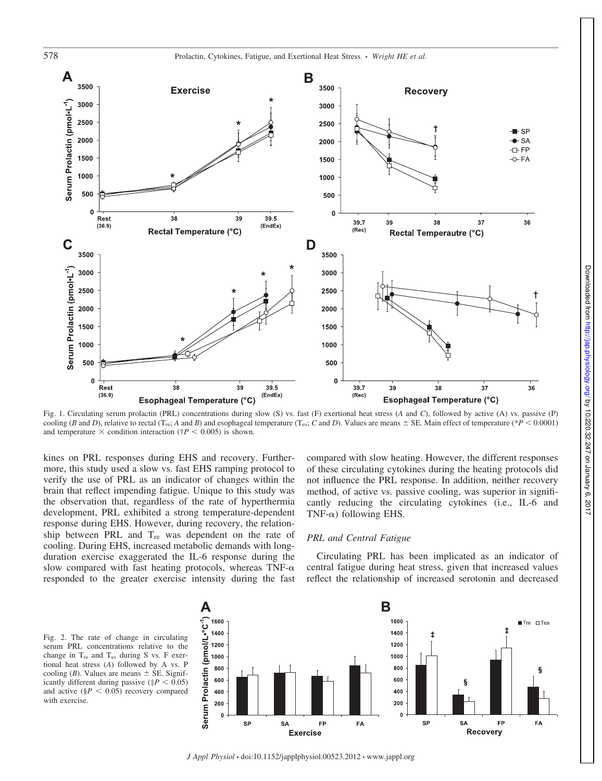

Fig. 1. Circulating serum prolactin (PRL) concentrations during slow (S) vs. fast (F) exertional heat stress (*A* and *C*), followed by active (A) vs. passive (P) cooling (*B* and *D*), relative to rectal (T<sub>re</sub>; *A* and *B*) and esophageal temperature (T<sub>es</sub>; *C* and *D*). Values are means  $\pm$  SE. Main effect of temperature (\**P* < 0.0001) and temperature  $\times$  condition interaction ( $\uparrow P$  < 0.005) is shown.

kines on PRL responses during EHS and recovery. Furthermore, this study used a slow vs. fast EHS ramping protocol to verify the use of PRL as an indicator of changes within the brain that reflect impending fatigue. Unique to this study was the observation that, regardless of the rate of hyperthermia development, PRL exhibited a strong temperature-dependent response during EHS. However, during recovery, the relationship between PRL and T<sub>re</sub> was dependent on the rate of cooling. During EHS, increased metabolic demands with longduration exercise exaggerated the IL-6 response during the slow compared with fast heating protocols, whereas TNF- $\alpha$ responded to the greater exercise intensity during the fast

compared with slow heating. However, the different responses of these circulating cytokines during the heating protocols did not influence the PRL response. In addition, neither recovery method, of active vs. passive cooling, was superior in significantly reducing the circulating cytokines (i.e., IL-6 and TNF- $\alpha$ ) following EHS.

#### *PRL and Central Fatigue*

Circulating PRL has been implicated as an indicator of central fatigue during heat stress, given that increased values reflect the relationship of increased serotonin and decreased





*J Appl Physiol* • doi:10.1152/japplphysiol.00523.2012 • www.jappl.org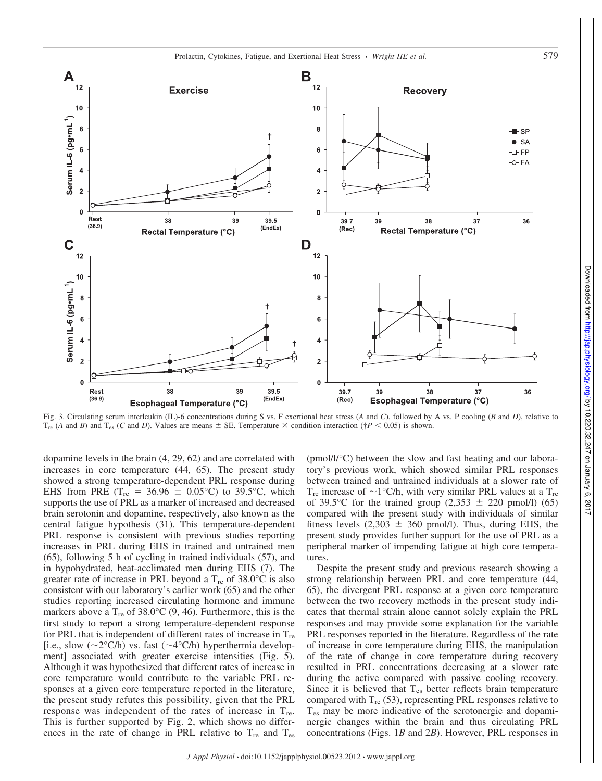

Fig. 3. Circulating serum interleukin (IL)-6 concentrations during S vs. F exertional heat stress (*A* and *C*), followed by A vs. P cooling (*B* and *D*), relative to  $T_{\text{re}}$  (*A* and *B*) and  $T_{\text{es}}$  (*C* and *D*). Values are means  $\pm$  SE. Temperature  $\times$  condition interaction ( $\dagger P$  < 0.05) is shown.

dopamine levels in the brain (4, 29, 62) and are correlated with increases in core temperature (44, 65). The present study showed a strong temperature-dependent PRL response during EHS from PRE ( $T_{re}$  = 36.96  $\pm$  0.05°C) to 39.5°C, which supports the use of PRL as a marker of increased and decreased brain serotonin and dopamine, respectively, also known as the central fatigue hypothesis (31). This temperature-dependent PRL response is consistent with previous studies reporting increases in PRL during EHS in trained and untrained men (65), following 5 h of cycling in trained individuals (57), and in hypohydrated, heat-acclimated men during EHS (7). The greater rate of increase in PRL beyond a  $T_{\text{re}}$  of 38.0°C is also consistent with our laboratory's earlier work (65) and the other studies reporting increased circulating hormone and immune markers above a  $T_{\text{re}}$  of 38.0°C (9, 46). Furthermore, this is the first study to report a strong temperature-dependent response for PRL that is independent of different rates of increase in  $T_{\text{re}}$ [i.e., slow  $(\sim 2^{\circ}C/h)$  vs. fast  $(\sim 4^{\circ}C/h)$  hyperthermia development] associated with greater exercise intensities (Fig. 5). Although it was hypothesized that different rates of increase in core temperature would contribute to the variable PRL responses at a given core temperature reported in the literature, the present study refutes this possibility, given that the PRL response was independent of the rates of increase in  $T_{\text{re}}$ . This is further supported by Fig. 2, which shows no differences in the rate of change in PRL relative to  $T_{\text{re}}$  and  $T_{\text{es}}$ 

(pmol/l/°C) between the slow and fast heating and our laboratory's previous work, which showed similar PRL responses between trained and untrained individuals at a slower rate of  $T_{\text{re}}$  increase of  $\sim$  1°C/h, with very similar PRL values at a  $T_{\text{re}}$ of 39.5°C for the trained group  $(2,353 \pm 220 \text{ pmol/l})$  (65) compared with the present study with individuals of similar fitness levels  $(2,303 \pm 360 \text{ pmol/l})$ . Thus, during EHS, the present study provides further support for the use of PRL as a peripheral marker of impending fatigue at high core temperatures.

Despite the present study and previous research showing a strong relationship between PRL and core temperature (44, 65), the divergent PRL response at a given core temperature between the two recovery methods in the present study indicates that thermal strain alone cannot solely explain the PRL responses and may provide some explanation for the variable PRL responses reported in the literature. Regardless of the rate of increase in core temperature during EHS, the manipulation of the rate of change in core temperature during recovery resulted in PRL concentrations decreasing at a slower rate during the active compared with passive cooling recovery. Since it is believed that  $T_{es}$  better reflects brain temperature compared with  $T_{re}$  (53), representing PRL responses relative to Tes may be more indicative of the serotonergic and dopaminergic changes within the brain and thus circulating PRL concentrations (Figs. 1*B* and 2*B*). However, PRL responses in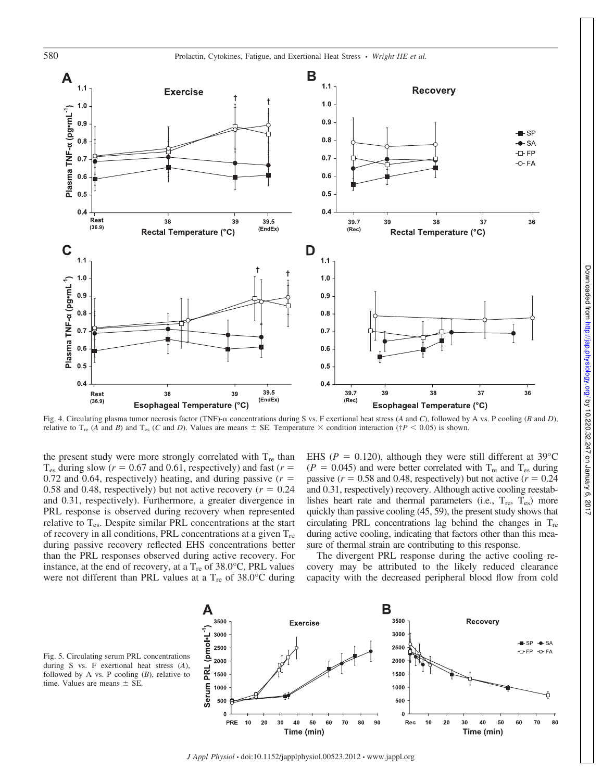

Fig. 4. Circulating plasma tumor necrosis factor (TNF)- $\alpha$  concentrations during S vs. F exertional heat stress (*A* and *C*), followed by A vs. P cooling (*B* and *D*), relative to T<sub>re</sub> (*A* and *B*) and T<sub>es</sub> (*C* and *D*). Values are means  $\pm$  SE. Temperature  $\times$  condition interaction (†*P* < 0.05) is shown.

the present study were more strongly correlated with  $T_{\text{re}}$  than  $T_{es}$  during slow ( $r = 0.67$  and 0.61, respectively) and fast ( $r =$ 0.72 and 0.64, respectively) heating, and during passive  $(r =$ 0.58 and 0.48, respectively) but not active recovery  $(r = 0.24)$ and 0.31, respectively). Furthermore, a greater divergence in PRL response is observed during recovery when represented relative to  $T_{es}$ . Despite similar PRL concentrations at the start of recovery in all conditions, PRL concentrations at a given  $T_{\text{re}}$ during passive recovery reflected EHS concentrations better than the PRL responses observed during active recovery. For instance, at the end of recovery, at a  $T_{\rm re}$  of 38.0°C, PRL values were not different than PRL values at a  $T_{\text{re}}$  of 38.0°C during

EHS ( $P = 0.120$ ), although they were still different at 39 $\degree$ C  $(P = 0.045)$  and were better correlated with T<sub>re</sub> and T<sub>es</sub> during passive  $(r = 0.58$  and 0.48, respectively) but not active  $(r = 0.24)$ and 0.31, respectively) recovery. Although active cooling reestablishes heart rate and thermal parameters (i.e.,  $T_{\text{re}}$ ,  $T_{\text{es}}$ ) more quickly than passive cooling (45, 59), the present study shows that circulating PRL concentrations lag behind the changes in  $T_{\text{re}}$ during active cooling, indicating that factors other than this measure of thermal strain are contributing to this response.

The divergent PRL response during the active cooling recovery may be attributed to the likely reduced clearance capacity with the decreased peripheral blood flow from cold



Fig. 5. Circulating serum PRL concentrations during S vs. F exertional heat stress (*A*), followed by A vs. P cooling  $(B)$ , relative to time. Values are means  $\pm$  SE.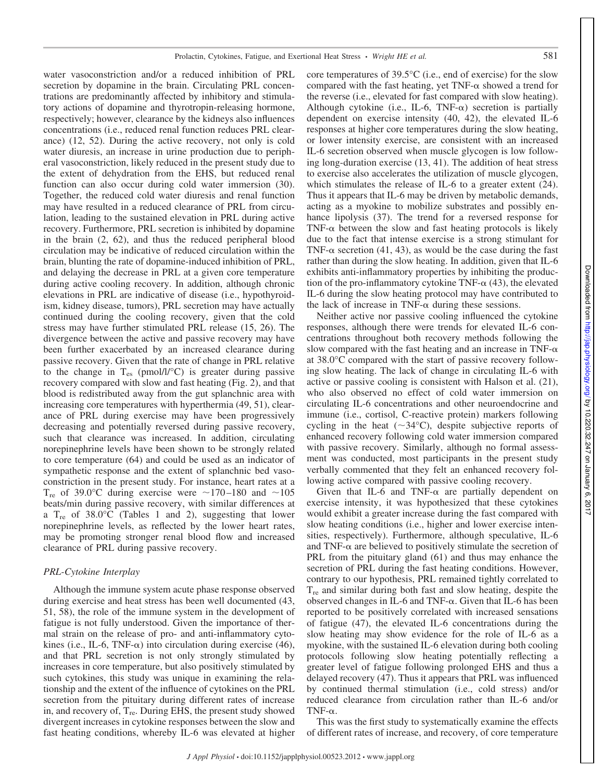water vasoconstriction and/or a reduced inhibition of PRL secretion by dopamine in the brain. Circulating PRL concentrations are predominantly affected by inhibitory and stimulatory actions of dopamine and thyrotropin-releasing hormone, respectively; however, clearance by the kidneys also influences concentrations (i.e., reduced renal function reduces PRL clearance) (12, 52). During the active recovery, not only is cold water diuresis, an increase in urine production due to peripheral vasoconstriction, likely reduced in the present study due to the extent of dehydration from the EHS, but reduced renal function can also occur during cold water immersion (30). Together, the reduced cold water diuresis and renal function may have resulted in a reduced clearance of PRL from circulation, leading to the sustained elevation in PRL during active recovery. Furthermore, PRL secretion is inhibited by dopamine in the brain (2, 62), and thus the reduced peripheral blood circulation may be indicative of reduced circulation within the brain, blunting the rate of dopamine-induced inhibition of PRL, and delaying the decrease in PRL at a given core temperature during active cooling recovery. In addition, although chronic elevations in PRL are indicative of disease (i.e., hypothyroidism, kidney disease, tumors), PRL secretion may have actually continued during the cooling recovery, given that the cold stress may have further stimulated PRL release (15, 26). The divergence between the active and passive recovery may have been further exacerbated by an increased clearance during passive recovery. Given that the rate of change in PRL relative to the change in  $T_{es}$  (pmol/l/ $^{\circ}$ C) is greater during passive recovery compared with slow and fast heating (Fig. 2), and that blood is redistributed away from the gut splanchnic area with increasing core temperatures with hyperthermia (49, 51), clearance of PRL during exercise may have been progressively decreasing and potentially reversed during passive recovery, such that clearance was increased. In addition, circulating norepinephrine levels have been shown to be strongly related to core temperature (64) and could be used as an indicator of sympathetic response and the extent of splanchnic bed vasoconstriction in the present study. For instance, heart rates at a  $T_{\text{re}}$  of 39.0°C during exercise were ~170–180 and ~105 beats/min during passive recovery, with similar differences at a  $T_{\text{re}}$  of 38.0°C (Tables 1 and 2), suggesting that lower norepinephrine levels, as reflected by the lower heart rates, may be promoting stronger renal blood flow and increased clearance of PRL during passive recovery.

## *PRL-Cytokine Interplay*

Although the immune system acute phase response observed during exercise and heat stress has been well documented (43, 51, 58), the role of the immune system in the development of fatigue is not fully understood. Given the importance of thermal strain on the release of pro- and anti-inflammatory cytokines (i.e., IL-6, TNF- $\alpha$ ) into circulation during exercise (46), and that PRL secretion is not only strongly stimulated by increases in core temperature, but also positively stimulated by such cytokines, this study was unique in examining the relationship and the extent of the influence of cytokines on the PRL secretion from the pituitary during different rates of increase in, and recovery of,  $T_{\text{re}}$ . During EHS, the present study showed divergent increases in cytokine responses between the slow and fast heating conditions, whereby IL-6 was elevated at higher

core temperatures of 39.5°C (i.e., end of exercise) for the slow compared with the fast heating, yet  $TNF-\alpha$  showed a trend for the reverse (i.e., elevated for fast compared with slow heating). Although cytokine (i.e., IL-6, TNF- $\alpha$ ) secretion is partially dependent on exercise intensity (40, 42), the elevated IL-6 responses at higher core temperatures during the slow heating, or lower intensity exercise, are consistent with an increased IL-6 secretion observed when muscle glycogen is low following long-duration exercise (13, 41). The addition of heat stress to exercise also accelerates the utilization of muscle glycogen, which stimulates the release of IL-6 to a greater extent  $(24)$ . Thus it appears that IL-6 may be driven by metabolic demands, acting as a myokine to mobilize substrates and possibly enhance lipolysis (37). The trend for a reversed response for TNF- $\alpha$  between the slow and fast heating protocols is likely due to the fact that intense exercise is a strong stimulant for TNF- $\alpha$  secretion (41, 43), as would be the case during the fast rather than during the slow heating. In addition, given that IL-6 exhibits anti-inflammatory properties by inhibiting the production of the pro-inflammatory cytokine TNF- $\alpha$  (43), the elevated IL-6 during the slow heating protocol may have contributed to the lack of increase in TNF- $\alpha$  during these sessions.

Neither active nor passive cooling influenced the cytokine responses, although there were trends for elevated IL-6 concentrations throughout both recovery methods following the slow compared with the fast heating and an increase in TNF- $\alpha$ at 38.0°C compared with the start of passive recovery following slow heating. The lack of change in circulating IL-6 with active or passive cooling is consistent with Halson et al. (21), who also observed no effect of cold water immersion on circulating IL-6 concentrations and other neuroendocrine and immune (i.e., cortisol, C-reactive protein) markers following cycling in the heat  $(\sim 34^{\circ}\text{C})$ , despite subjective reports of enhanced recovery following cold water immersion compared with passive recovery. Similarly, although no formal assessment was conducted, most participants in the present study verbally commented that they felt an enhanced recovery following active compared with passive cooling recovery.

Given that IL-6 and TNF- $\alpha$  are partially dependent on exercise intensity, it was hypothesized that these cytokines would exhibit a greater increase during the fast compared with slow heating conditions (i.e., higher and lower exercise intensities, respectively). Furthermore, although speculative, IL-6 and TNF- $\alpha$  are believed to positively stimulate the secretion of PRL from the pituitary gland (61) and thus may enhance the secretion of PRL during the fast heating conditions. However, contrary to our hypothesis, PRL remained tightly correlated to Tre and similar during both fast and slow heating, despite the observed changes in IL-6 and TNF- $\alpha$ . Given that IL-6 has been reported to be positively correlated with increased sensations of fatigue (47), the elevated IL-6 concentrations during the slow heating may show evidence for the role of IL-6 as a myokine, with the sustained IL-6 elevation during both cooling protocols following slow heating potentially reflecting a greater level of fatigue following prolonged EHS and thus a delayed recovery (47). Thus it appears that PRL was influenced by continued thermal stimulation (i.e., cold stress) and/or reduced clearance from circulation rather than IL-6 and/or TNF- $\alpha$ .

This was the first study to systematically examine the effects of different rates of increase, and recovery, of core temperature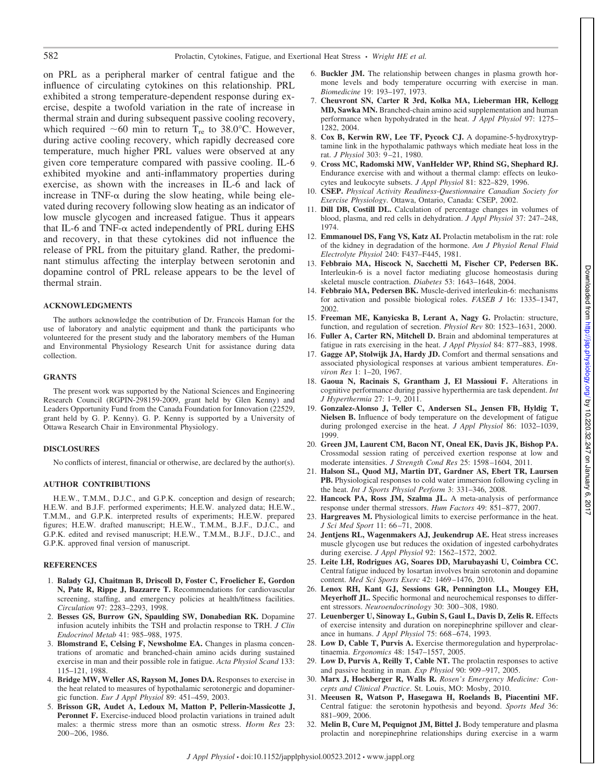on PRL as a peripheral marker of central fatigue and the influence of circulating cytokines on this relationship. PRL exhibited a strong temperature-dependent response during exercise, despite a twofold variation in the rate of increase in thermal strain and during subsequent passive cooling recovery, which required  $\sim 60$  min to return T<sub>re</sub> to 38.0°C. However, during active cooling recovery, which rapidly decreased core temperature, much higher PRL values were observed at any given core temperature compared with passive cooling. IL-6 exhibited myokine and anti-inflammatory properties during exercise, as shown with the increases in IL-6 and lack of increase in TNF- $\alpha$  during the slow heating, while being elevated during recovery following slow heating as an indicator of low muscle glycogen and increased fatigue. Thus it appears that IL-6 and TNF- $\alpha$  acted independently of PRL during EHS and recovery, in that these cytokines did not influence the release of PRL from the pituitary gland. Rather, the predominant stimulus affecting the interplay between serotonin and dopamine control of PRL release appears to be the level of thermal strain.

## **ACKNOWLEDGMENTS**

The authors acknowledge the contribution of Dr. Francois Haman for the use of laboratory and analytic equipment and thank the participants who volunteered for the present study and the laboratory members of the Human and Environmental Physiology Research Unit for assistance during data collection.

#### **GRANTS**

The present work was supported by the National Sciences and Engineering Research Council (RGPIN-298159-2009, grant held by Glen Kenny) and Leaders Opportunity Fund from the Canada Foundation for Innovation (22529, grant held by G. P. Kenny). G. P. Kenny is supported by a University of Ottawa Research Chair in Environmental Physiology.

## **DISCLOSURES**

No conflicts of interest, financial or otherwise, are declared by the author(s).

#### **AUTHOR CONTRIBUTIONS**

H.E.W., T.M.M., D.J.C., and G.P.K. conception and design of research; H.E.W. and B.J.F. performed experiments; H.E.W. analyzed data; H.E.W., T.M.M., and G.P.K. interpreted results of experiments; H.E.W. prepared figures; H.E.W. drafted manuscript; H.E.W., T.M.M., B.J.F., D.J.C., and G.P.K. edited and revised manuscript; H.E.W., T.M.M., B.J.F., D.J.C., and G.P.K. approved final version of manuscript.

#### **REFERENCES**

- 1. **Balady GJ, Chaitman B, Driscoll D, Foster C, Froelicher E, Gordon N, Pate R, Rippe J, Bazzarre T.** Recommendations for cardiovascular screening, staffing, and emergency policies at health/fitness facilities. *Circulation* 97: 2283–2293, 1998.
- 2. **Besses GS, Burrow GN, Spaulding SW, Donabedian RK.** Dopamine infusion acutely inhibits the TSH and prolactin response to TRH. *J Clin Endocrinol Metab* 41: 985–988, 1975.
- 3. **Blomstrand E, Celsing F, Newsholme EA.** Changes in plasma concentrations of aromatic and branched-chain amino acids during sustained exercise in man and their possible role in fatigue. *Acta Physiol Scand* 133: 115–121, 1988.
- 4. **Bridge MW, Weller AS, Rayson M, Jones DA.** Responses to exercise in the heat related to measures of hypothalamic serotonergic and dopaminergic function. *Eur J Appl Physiol* 89: 451–459, 2003.
- 5. **Brisson GR, Audet A, Ledoux M, Matton P, Pellerin-Massicotte J,** Peronnet F. Exercise-induced blood prolactin variations in trained adult males: a thermic stress more than an osmotic stress. *Horm Res* 23: 200–206, 1986.
- 6. **Buckler JM.** The relationship between changes in plasma growth hormone levels and body temperature occurring with exercise in man. *Biomedicine* 19: 193–197, 1973.
- 7. **Cheuvront SN, Carter R 3rd, Kolka MA, Lieberman HR, Kellogg MD, Sawka MN.** Branched-chain amino acid supplementation and human performance when hypohydrated in the heat. *J Appl Physiol* 97: 1275– 1282, 2004.
- 8. **Cox B, Kerwin RW, Lee TF, Pycock CJ.** A dopamine-5-hydroxytryptamine link in the hypothalamic pathways which mediate heat loss in the rat. *J Physiol* 303: 9–21, 1980.
- 9. **Cross MC, Radomski MW, VanHelder WP, Rhind SG, Shephard RJ.** Endurance exercise with and without a thermal clamp: effects on leukocytes and leukocyte subsets. *J Appl Physiol* 81: 822–829, 1996.
- 10. **CSEP.** *Physical Activity Readiness-Questionnaire Canadian Society for Exercise Physiology*. Ottawa, Ontario, Canada: CSEP, 2002.
- 11. **Dill DB, Costill DL.** Calculation of percentage changes in volumes of blood, plasma, and red cells in dehydration. *J Appl Physiol* 37: 247–248, 1974.
- 12. **Emmanouel DS, Fang VS, Katz AI.** Prolactin metabolism in the rat: role of the kidney in degradation of the hormone. *Am J Physiol Renal Fluid Electrolyte Physiol* 240: F437–F445, 1981.
- 13. **Febbraio MA, Hiscock N, Sacchetti M, Fischer CP, Pedersen BK.** Interleukin-6 is a novel factor mediating glucose homeostasis during skeletal muscle contraction. *Diabetes* 53: 1643–1648, 2004.
- 14. **Febbraio MA, Pedersen BK.** Muscle-derived interleukin-6: mechanisms for activation and possible biological roles. *FASEB J* 16: 1335–1347, 2002.
- 15. **Freeman ME, Kanyicska B, Lerant A, Nagy G.** Prolactin: structure, function, and regulation of secretion. *Physiol Rev* 80: 1523–1631, 2000.
- 16. **Fuller A, Carter RN, Mitchell D.** Brain and abdominal temperatures at fatigue in rats exercising in the heat. *J Appl Physiol* 84: 877–883, 1998.
- 17. **Gagge AP, Stolwijk JA, Hardy JD.** Comfort and thermal sensations and associated physiological responses at various ambient temperatures. *Environ Res* 1: 1–20, 1967.
- 18. **Gaoua N, Racinais S, Grantham J, El Massioui F.** Alterations in cognitive performance during passive hyperthermia are task dependent. *Int J Hyperthermia* 27: 1–9, 2011.
- 19. **Gonzalez-Alonso J, Teller C, Andersen SL, Jensen FB, Hyldig T, Nielsen B.** Influence of body temperature on the development of fatigue during prolonged exercise in the heat. *J Appl Physiol* 86: 1032–1039, 1999.
- 20. **Green JM, Laurent CM, Bacon NT, Oneal EK, Davis JK, Bishop PA.** Crossmodal session rating of perceived exertion response at low and moderate intensities. *J Strength Cond Res* 25: 1598–1604, 2011.
- 21. **Halson SL, Quod MJ, Martin DT, Gardner AS, Ebert TR, Laursen PB.** Physiological responses to cold water immersion following cycling in the heat. *Int J Sports Physiol Perform* 3: 331–346, 2008.
- 22. **Hancock PA, Ross JM, Szalma JL.** A meta-analysis of performance response under thermal stressors. *Hum Factors* 49: 851–877, 2007.
- 23. **Hargreaves M.** Physiological limits to exercise performance in the heat. *J Sci Med Sport* 11: 66–71, 2008.
- 24. **Jentjens RL, Wagenmakers AJ, Jeukendrup AE.** Heat stress increases muscle glycogen use but reduces the oxidation of ingested carbohydrates during exercise. *J Appl Physiol* 92: 1562–1572, 2002.
- 25. **Leite LH, Rodrigues AG, Soares DD, Marubayashi U, Coimbra CC.** Central fatigue induced by losartan involves brain serotonin and dopamine content. *Med Sci Sports Exerc* 42: 1469–1476, 2010.
- 26. **Lenox RH, Kant GJ, Sessions GR, Pennington LL, Mougey EH, Meyerhoff JL.** Specific hormonal and neurochemical responses to different stressors. *Neuroendocrinology* 30: 300–308, 1980.
- 27. **Leuenberger U, Sinoway L, Gubin S, Gaul L, Davis D, Zelis R.** Effects of exercise intensity and duration on norepinephrine spillover and clearance in humans. *J Appl Physiol* 75: 668–674, 1993.
- 28. **Low D, Cable T, Purvis A.** Exercise thermoregulation and hyperprolactinaemia. *Ergonomics* 48: 1547–1557, 2005.
- 29. **Low D, Purvis A, Reilly T, Cable NT.** The prolactin responses to active and passive heating in man. *Exp Physiol* 90: 909–917, 2005.
- 30. **Marx J, Hockberger R, Walls R.** *Rosen's Emergency Medicine: Concepts and Clinical Practice*. St. Louis, MO: Mosby, 2010.
- 31. **Meeusen R, Watson P, Hasegawa H, Roelands B, Piacentini MF.** Central fatigue: the serotonin hypothesis and beyond. *Sports Med* 36: 881–909, 2006.
- 32. **Melin B, Cure M, Pequignot JM, Bittel J.** Body temperature and plasma prolactin and norepinephrine relationships during exercise in a warm